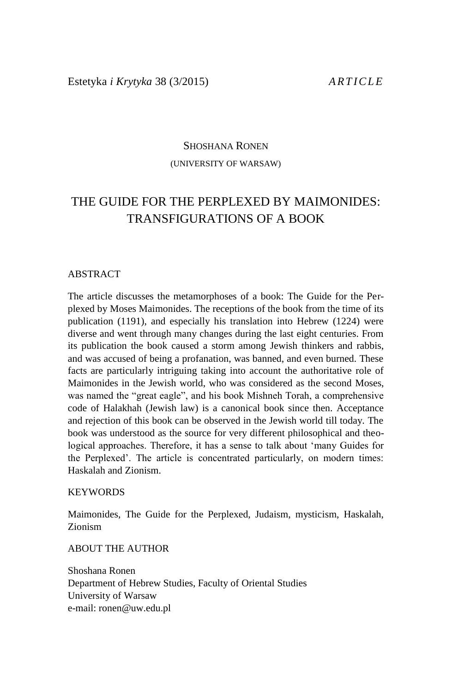### SHOSHANA RONEN (UNIVERSITY OF WARSAW)

# THE GUIDE FOR THE PERPLEXED BY MAIMONIDES: TRANSFIGURATIONS OF A BOOK

#### ABSTRACT

The article discusses the metamorphoses of a book: The Guide for the Perplexed by Moses Maimonides. The receptions of the book from the time of its publication (1191), and especially his translation into Hebrew (1224) were diverse and went through many changes during the last eight centuries. From its publication the book caused a storm among Jewish thinkers and rabbis, and was accused of being a profanation, was banned, and even burned. These facts are particularly intriguing taking into account the authoritative role of Maimonides in the Jewish world, who was considered as the second Moses, was named the "great eagle", and his book Mishneh Torah, a comprehensive code of Halakhah (Jewish law) is a canonical book since then. Acceptance and rejection of this book can be observed in the Jewish world till today. The book was understood as the source for very different philosophical and theological approaches. Therefore, it has a sense to talk about 'many Guides for the Perplexed'. The article is concentrated particularly, on modern times: Haskalah and Zionism.

#### **KEYWORDS**

Maimonides, The Guide for the Perplexed, Judaism, mysticism, Haskalah, Zionism

ABOUT THE AUTHOR

Shoshana Ronen Department of Hebrew Studies, Faculty of Oriental Studies University of Warsaw e-mail: ronen@uw.edu.pl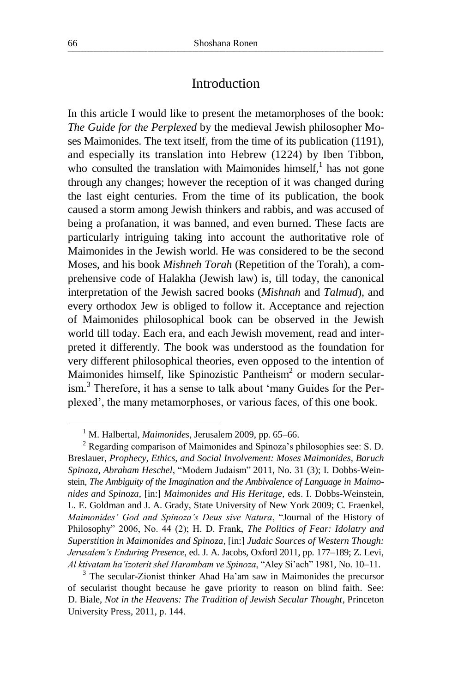### Introduction

In this article I would like to present the metamorphoses of the book: *The Guide for the Perplexed* by the medieval Jewish philosopher Moses Maimonides. The text itself, from the time of its publication (1191), and especially its translation into Hebrew (1224) by Iben Tibbon, who consulted the translation with Maimonides himself, $<sup>1</sup>$  has not gone</sup> through any changes; however the reception of it was changed during the last eight centuries. From the time of its publication, the book caused a storm among Jewish thinkers and rabbis, and was accused of being a profanation, it was banned, and even burned. These facts are particularly intriguing taking into account the authoritative role of Maimonides in the Jewish world. He was considered to be the second Moses, and his book *Mishneh Torah* (Repetition of the Torah), a comprehensive code of Halakha (Jewish law) is, till today, the canonical interpretation of the Jewish sacred books (*Mishnah* and *Talmud*), and every orthodox Jew is obliged to follow it. Acceptance and rejection of Maimonides philosophical book can be observed in the Jewish world till today. Each era, and each Jewish movement, read and interpreted it differently. The book was understood as the foundation for very different philosophical theories, even opposed to the intention of Maimonides himself, like Spinozistic Pantheism<sup>2</sup> or modern secularism.<sup>3</sup> Therefore, it has a sense to talk about 'many Guides for the Perplexed', the many metamorphoses, or various faces, of this one book.

<sup>1</sup> M. Halbertal, *Maimonides*, Jerusalem 2009, pp. 65–66.

<sup>2</sup> Regarding comparison of Maimonides and Spinoza's philosophies see: S. D. Breslauer, *Prophecy, Ethics, and Social Involvement: Moses Maimonides, Baruch Spinoza, Abraham Heschel*, "Modern Judaism" 2011, No. 31 (3); I. Dobbs-Weinstein, *The Ambiguity of the Imagination and the Ambivalence of Language in Maimonides and Spinoza*, [in:] *Maimonides and His Heritage*, eds. I. Dobbs-Weinstein, L. E. Goldman and J. A. Grady, State University of New York 2009; C. Fraenkel, *Maimonides' God and Spinoza's Deus sive Natura*, "Journal of the History of Philosophy" 2006, No. 44 (2); H. D. Frank, *The Politics of Fear: Idolatry and Superstition in Maimonides and Spinoza*, [in:] *Judaic Sources of Western Though: Jerusalem's Enduring Presence*, ed. J. A. Jacobs, Oxford 2011, pp. 177–189; Z. Levi, *Al ktivatam ha'izoterit shel Harambam ve Spinoza*, "Aley Si'ach" 1981, No. 10–11.

<sup>&</sup>lt;sup>3</sup> The secular-Zionist thinker Ahad Ha'am saw in Maimonides the precursor of secularist thought because he gave priority to reason on blind faith. See: D. Biale, *Not in the Heavens: The Tradition of Jewish Secular Thought*, Princeton University Press, 2011, p. 144.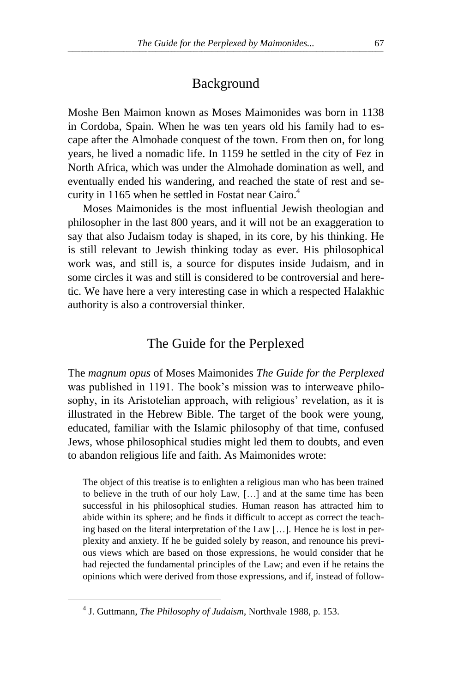## Background

Moshe Ben Maimon known as Moses Maimonides was born in 1138 in Cordoba, Spain. When he was ten years old his family had to escape after the Almohade conquest of the town. From then on, for long years, he lived a nomadic life. In 1159 he settled in the city of Fez in North Africa, which was under the Almohade domination as well, and eventually ended his wandering, and reached the state of rest and security in 1165 when he settled in Fostat near Cairo. 4

Moses Maimonides is the most influential Jewish theologian and philosopher in the last 800 years, and it will not be an exaggeration to say that also Judaism today is shaped, in its core, by his thinking. He is still relevant to Jewish thinking today as ever. His philosophical work was, and still is, a source for disputes inside Judaism, and in some circles it was and still is considered to be controversial and heretic. We have here a very interesting case in which a respected Halakhic authority is also a controversial thinker.

### The Guide for the Perplexed

The *magnum opus* of Moses Maimonides *The Guide for the Perplexed* was published in 1191. The book's mission was to interweave philosophy, in its Aristotelian approach, with religious' revelation, as it is illustrated in the Hebrew Bible. The target of the book were young, educated, familiar with the Islamic philosophy of that time, confused Jews, whose philosophical studies might led them to doubts, and even to abandon religious life and faith. As Maimonides wrote:

The object of this treatise is to enlighten a religious man who has been trained to believe in the truth of our holy Law, […] and at the same time has been successful in his philosophical studies. Human reason has attracted him to abide within its sphere; and he finds it difficult to accept as correct the teaching based on the literal interpretation of the Law […]. Hence he is lost in perplexity and anxiety. If he be guided solely by reason, and renounce his previous views which are based on those expressions, he would consider that he had rejected the fundamental principles of the Law; and even if he retains the opinions which were derived from those expressions, and if, instead of follow-

<sup>4</sup> J. Guttmann, *The Philosophy of Judaism*, Northvale 1988, p. 153.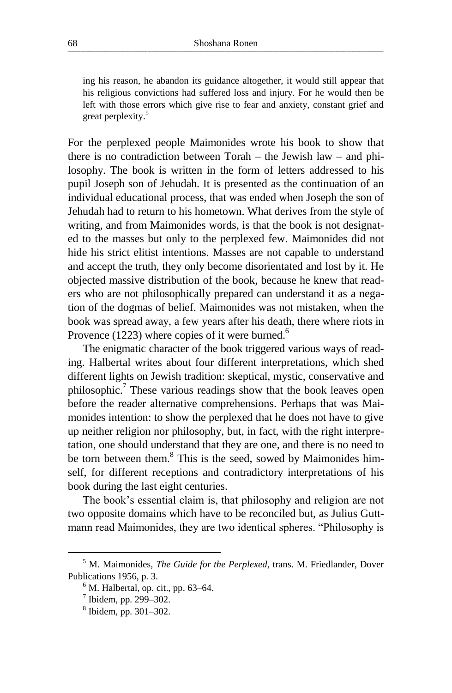ing his reason, he abandon its guidance altogether, it would still appear that his religious convictions had suffered loss and injury. For he would then be left with those errors which give rise to fear and anxiety, constant grief and great perplexity. 5

For the perplexed people Maimonides wrote his book to show that there is no contradiction between Torah – the Jewish law – and philosophy. The book is written in the form of letters addressed to his pupil Joseph son of Jehudah. It is presented as the continuation of an individual educational process, that was ended when Joseph the son of Jehudah had to return to his hometown. What derives from the style of writing, and from Maimonides words, is that the book is not designated to the masses but only to the perplexed few. Maimonides did not hide his strict elitist intentions. Masses are not capable to understand and accept the truth, they only become disorientated and lost by it. He objected massive distribution of the book, because he knew that readers who are not philosophically prepared can understand it as a negation of the dogmas of belief. Maimonides was not mistaken, when the book was spread away, a few years after his death, there where riots in Provence (1223) where copies of it were burned.<sup>6</sup>

The enigmatic character of the book triggered various ways of reading. Halbertal writes about four different interpretations, which shed different lights on Jewish tradition: skeptical, mystic, conservative and philosophic.<sup>7</sup> These various readings show that the book leaves open before the reader alternative comprehensions. Perhaps that was Maimonides intention: to show the perplexed that he does not have to give up neither religion nor philosophy, but, in fact, with the right interpretation, one should understand that they are one, and there is no need to be torn between them.<sup>8</sup> This is the seed, sowed by Maimonides himself, for different receptions and contradictory interpretations of his book during the last eight centuries.

The book's essential claim is, that philosophy and religion are not two opposite domains which have to be reconciled but, as Julius Guttmann read Maimonides, they are two identical spheres. "Philosophy is

<sup>5</sup> M. Maimonides, *The Guide for the Perplexed*, trans. M. Friedlander, Dover Publications 1956, p. 3.

 $<sup>6</sup>$  M. Halbertal, op. cit., pp. 63–64.</sup>

 $<sup>7</sup>$  Ibidem, pp. 299–302.</sup>

<sup>8</sup> Ibidem, pp. 301–302.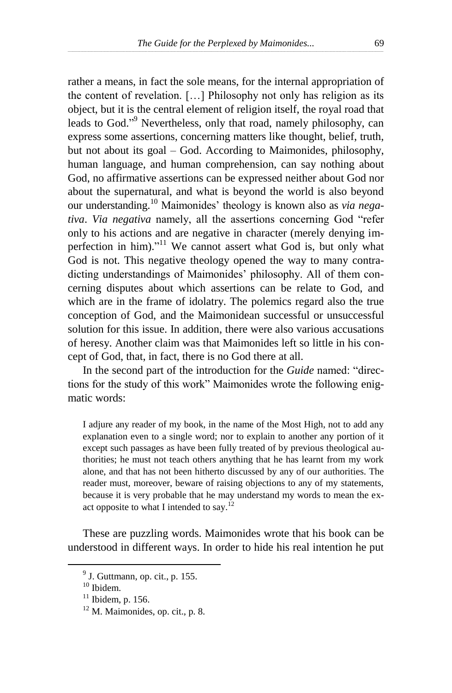rather a means, in fact the sole means, for the internal appropriation of the content of revelation. […] Philosophy not only has religion as its object, but it is the central element of religion itself, the royal road that leads to God."<sup>9</sup> Nevertheless, only that road, namely philosophy, can express some assertions, concerning matters like thought, belief, truth, but not about its goal – God. According to Maimonides, philosophy, human language, and human comprehension, can say nothing about God, no affirmative assertions can be expressed neither about God nor about the supernatural, and what is beyond the world is also beyond our understanding. <sup>10</sup> Maimonides' theology is known also as *via negativa*. *Via negativa* namely, all the assertions concerning God "refer only to his actions and are negative in character (merely denying imperfection in him)."<sup>11</sup> We cannot assert what God is, but only what God is not. This negative theology opened the way to many contradicting understandings of Maimonides' philosophy. All of them concerning disputes about which assertions can be relate to God, and which are in the frame of idolatry. The polemics regard also the true conception of God, and the Maimonidean successful or unsuccessful solution for this issue. In addition, there were also various accusations of heresy. Another claim was that Maimonides left so little in his concept of God, that, in fact, there is no God there at all.

In the second part of the introduction for the *Guide* named: "directions for the study of this work" Maimonides wrote the following enigmatic words:

I adjure any reader of my book, in the name of the Most High, not to add any explanation even to a single word; nor to explain to another any portion of it except such passages as have been fully treated of by previous theological authorities; he must not teach others anything that he has learnt from my work alone, and that has not been hitherto discussed by any of our authorities. The reader must, moreover, beware of raising objections to any of my statements, because it is very probable that he may understand my words to mean the exact opposite to what I intended to say.<sup>12</sup>

These are puzzling words. Maimonides wrote that his book can be understood in different ways. In order to hide his real intention he put

 $<sup>9</sup>$  J. Guttmann, op. cit., p. 155.</sup>

<sup>&</sup>lt;sup>10</sup> Ibidem.

 $11$  Ibidem, p. 156.

 $12$  M. Maimonides, op. cit., p. 8.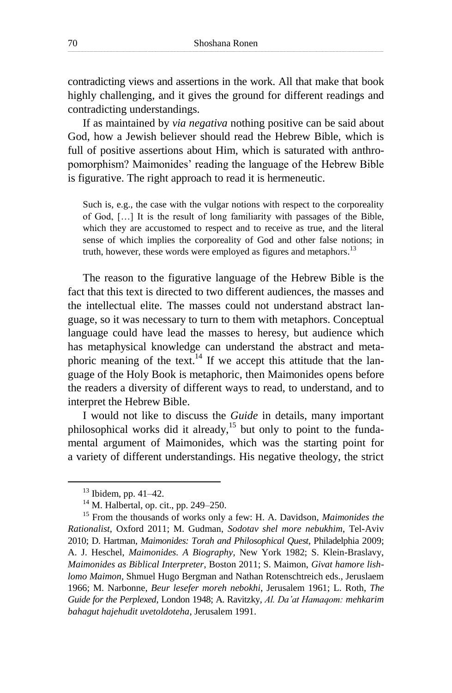contradicting views and assertions in the work. All that make that book highly challenging, and it gives the ground for different readings and contradicting understandings.

If as maintained by *via negativa* nothing positive can be said about God, how a Jewish believer should read the Hebrew Bible, which is full of positive assertions about Him, which is saturated with anthropomorphism? Maimonides' reading the language of the Hebrew Bible is figurative. The right approach to read it is hermeneutic.

Such is, e.g., the case with the vulgar notions with respect to the corporeality of God, […] It is the result of long familiarity with passages of the Bible, which they are accustomed to respect and to receive as true, and the literal sense of which implies the corporeality of God and other false notions; in truth, however, these words were employed as figures and metaphors.<sup>13</sup>

The reason to the figurative language of the Hebrew Bible is the fact that this text is directed to two different audiences, the masses and the intellectual elite. The masses could not understand abstract language, so it was necessary to turn to them with metaphors. Conceptual language could have lead the masses to heresy, but audience which has metaphysical knowledge can understand the abstract and metaphoric meaning of the text.<sup>14</sup> If we accept this attitude that the language of the Holy Book is metaphoric, then Maimonides opens before the readers a diversity of different ways to read, to understand, and to interpret the Hebrew Bible.

I would not like to discuss the *Guide* in details, many important philosophical works did it already,<sup>15</sup> but only to point to the fundamental argument of Maimonides, which was the starting point for a variety of different understandings. His negative theology, the strict

 $13$  Ibidem, pp. 41–42.

<sup>&</sup>lt;sup>14</sup> M. Halbertal, op. cit., pp. 249–250.

<sup>15</sup> From the thousands of works only a few: H. A. Davidson, *Maimonides the Rationalist*, Oxford 2011; M. Gudman, *Sodotav shel more nebukhim*, Tel-Aviv 2010; D. Hartman, *Maimonides: Torah and Philosophical Quest*, Philadelphia 2009; A. J. Heschel, *Maimonides. A Biography*, New York 1982; S. Klein-Braslavy, *Maimonides as Biblical Interpreter*, Boston 2011; S. Maimon, *Givat hamore lishlomo Maimon*, Shmuel Hugo Bergman and Nathan Rotenschtreich eds., Jeruslaem 1966; M. Narbonne, *Beur lesefer moreh nebokhi*, Jerusalem 1961; L. Roth, *The Guide for the Perplexed*, London 1948; A. Ravitzky, *Al. Da'at Hamaqom: mehkarim bahagut hajehudit uvetoldoteha*, Jerusalem 1991.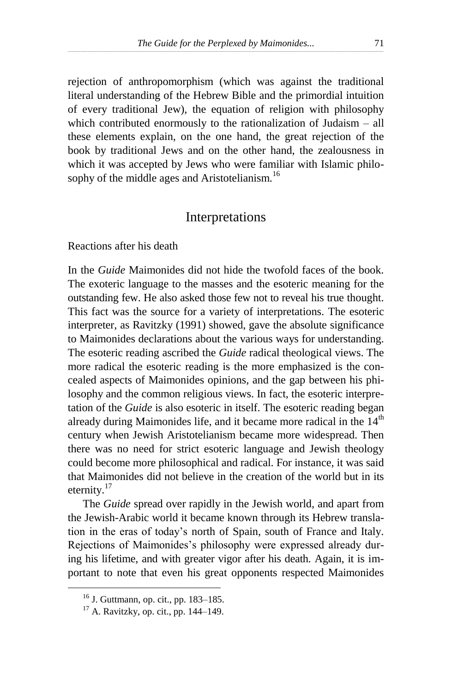rejection of anthropomorphism (which was against the traditional literal understanding of the Hebrew Bible and the primordial intuition of every traditional Jew), the equation of religion with philosophy which contributed enormously to the rationalization of Judaism – all these elements explain, on the one hand, the great rejection of the book by traditional Jews and on the other hand, the zealousness in which it was accepted by Jews who were familiar with Islamic philosophy of the middle ages and Aristotelianism.<sup>16</sup>

#### Interpretations

Reactions after his death

In the *Guide* Maimonides did not hide the twofold faces of the book. The exoteric language to the masses and the esoteric meaning for the outstanding few. He also asked those few not to reveal his true thought. This fact was the source for a variety of interpretations. The esoteric interpreter, as Ravitzky (1991) showed, gave the absolute significance to Maimonides declarations about the various ways for understanding. The esoteric reading ascribed the *Guide* radical theological views. The more radical the esoteric reading is the more emphasized is the concealed aspects of Maimonides opinions, and the gap between his philosophy and the common religious views. In fact, the esoteric interpretation of the *Guide* is also esoteric in itself. The esoteric reading began already during Maimonides life, and it became more radical in the  $14<sup>th</sup>$ century when Jewish Aristotelianism became more widespread. Then there was no need for strict esoteric language and Jewish theology could become more philosophical and radical. For instance, it was said that Maimonides did not believe in the creation of the world but in its eternity.<sup>17</sup>

The *Guide* spread over rapidly in the Jewish world, and apart from the Jewish-Arabic world it became known through its Hebrew translation in the eras of today's north of Spain, south of France and Italy. Rejections of Maimonides's philosophy were expressed already during his lifetime, and with greater vigor after his death. Again, it is important to note that even his great opponents respected Maimonides

<sup>16</sup> J. Guttmann, op. cit., pp. 183–185.

<sup>17</sup> A. Ravitzky, op. cit., pp. 144–149.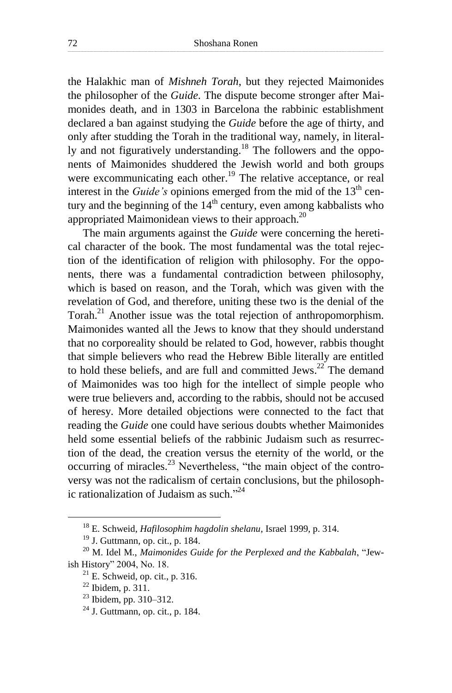the Halakhic man of *Mishneh Torah*, but they rejected Maimonides the philosopher of the *Guide*. The dispute become stronger after Maimonides death, and in 1303 in Barcelona the rabbinic establishment declared a ban against studying the *Guide* before the age of thirty, and only after studding the Torah in the traditional way, namely, in literally and not figuratively understanding.<sup>18</sup> The followers and the opponents of Maimonides shuddered the Jewish world and both groups were excommunicating each other.<sup>19</sup> The relative acceptance, or real interest in the *Guide's* opinions emerged from the mid of the  $13<sup>th</sup>$  century and the beginning of the  $14<sup>th</sup>$  century, even among kabbalists who appropriated Maimonidean views to their approach.<sup>20</sup>

The main arguments against the *Guide* were concerning the heretical character of the book. The most fundamental was the total rejection of the identification of religion with philosophy. For the opponents, there was a fundamental contradiction between philosophy, which is based on reason, and the Torah, which was given with the revelation of God, and therefore, uniting these two is the denial of the Torah.<sup>21</sup> Another issue was the total rejection of anthropomorphism. Maimonides wanted all the Jews to know that they should understand that no corporeality should be related to God, however, rabbis thought that simple believers who read the Hebrew Bible literally are entitled to hold these beliefs, and are full and committed Jews.<sup>22</sup> The demand of Maimonides was too high for the intellect of simple people who were true believers and, according to the rabbis, should not be accused of heresy. More detailed objections were connected to the fact that reading the *Guide* one could have serious doubts whether Maimonides held some essential beliefs of the rabbinic Judaism such as resurrection of the dead, the creation versus the eternity of the world, or the occurring of miracles.<sup>23</sup> Nevertheless, "the main object of the controversy was not the radicalism of certain conclusions, but the philosophic rationalization of Judaism as such."<sup>24</sup>

<sup>18</sup> E. Schweid, *Hafilosophim hagdolin shelanu*, Israel 1999, p. 314.

<sup>19</sup> J. Guttmann, op. cit., p. 184.

<sup>20</sup> M. Idel M., *Maimonides Guide for the Perplexed and the Kabbalah*, "Jewish History" 2004, No. 18.

 $21$  E. Schweid, op. cit., p. 316.

 $22$  Ibidem, p. 311.

<sup>23</sup> Ibidem, pp. 310–312.

 $24$  J. Guttmann, op. cit., p. 184.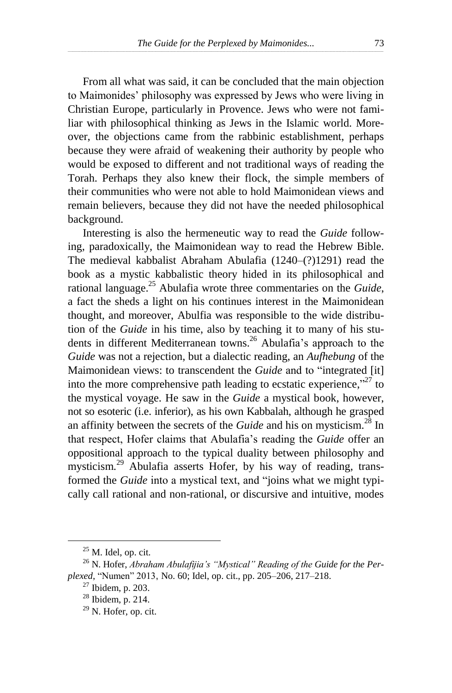From all what was said, it can be concluded that the main objection to Maimonides' philosophy was expressed by Jews who were living in Christian Europe, particularly in Provence. Jews who were not familiar with philosophical thinking as Jews in the Islamic world. Moreover, the objections came from the rabbinic establishment, perhaps because they were afraid of weakening their authority by people who would be exposed to different and not traditional ways of reading the Torah. Perhaps they also knew their flock, the simple members of their communities who were not able to hold Maimonidean views and remain believers, because they did not have the needed philosophical background.

Interesting is also the hermeneutic way to read the *Guide* following, paradoxically, the Maimonidean way to read the Hebrew Bible. The medieval kabbalist Abraham Abulafia (1240–(?)1291) read the book as a mystic kabbalistic theory hided in its philosophical and rational language. <sup>25</sup> Abulafia wrote three commentaries on the *Guide*, a fact the sheds a light on his continues interest in the Maimonidean thought, and moreover, Abulfia was responsible to the wide distribution of the *Guide* in his time, also by teaching it to many of his students in different Mediterranean towns.<sup>26</sup> Abulafia's approach to the *Guide* was not a rejection, but a dialectic reading, an *Aufhebung* of the Maimonidean views: to transcendent the *Guide* and to "integrated [it] into the more comprehensive path leading to ecstatic experience, $"^{27}$  to the mystical voyage. He saw in the *Guide* a mystical book, however, not so esoteric (i.e. inferior), as his own Kabbalah, although he grasped an affinity between the secrets of the *Guide* and his on mysticism. <sup>28</sup> In that respect, Hofer claims that Abulafia's reading the *Guide* offer an oppositional approach to the typical duality between philosophy and mysticism.<sup>29</sup> Abulafia asserts Hofer, by his way of reading, transformed the *Guide* into a mystical text, and "joins what we might typically call rational and non-rational, or discursive and intuitive, modes

 $25$  M. Idel, op. cit.

<sup>&</sup>lt;sup>26</sup> N. Hofer, *Abraham Abulafijia's "Mystical" Reading of the Guide for the Perplexed*, "Numen" 2013, No. 60; Idel, op. cit., pp. 205–206, 217–218.

 $27$  Ibidem, p. 203.

<sup>28</sup> Ibidem, p. 214.

<sup>29</sup> N. Hofer, op. cit.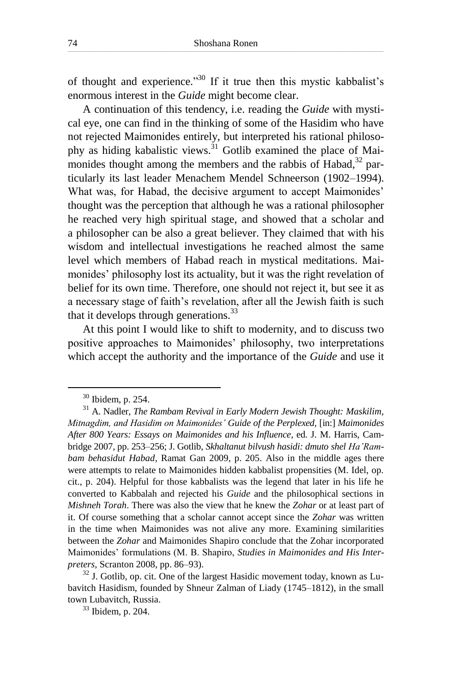of thought and experience."<sup>30</sup> If it true then this mystic kabbalist's enormous interest in the *Guide* might become clear.

A continuation of this tendency, i.e. reading the *Guide* with mystical eye, one can find in the thinking of some of the Hasidim who have not rejected Maimonides entirely, but interpreted his rational philosophy as hiding kabalistic views.<sup>31</sup> Gotlib examined the place of Maimonides thought among the members and the rabbis of Habad,<sup>32</sup> particularly its last leader Menachem Mendel Schneerson (1902–1994). What was, for Habad, the decisive argument to accept Maimonides' thought was the perception that although he was a rational philosopher he reached very high spiritual stage, and showed that a scholar and a philosopher can be also a great believer. They claimed that with his wisdom and intellectual investigations he reached almost the same level which members of Habad reach in mystical meditations. Maimonides' philosophy lost its actuality, but it was the right revelation of belief for its own time. Therefore, one should not reject it, but see it as a necessary stage of faith's revelation, after all the Jewish faith is such that it develops through generations.<sup>33</sup>

At this point I would like to shift to modernity, and to discuss two positive approaches to Maimonides' philosophy, two interpretations which accept the authority and the importance of the *Guide* and use it

 $\overline{a}$ 

<sup>33</sup> Ibidem, p. 204.

<sup>30</sup> Ibidem, p. 254.

<sup>31</sup> A. Nadler, *The Rambam Revival in Early Modern Jewish Thought: Maskilim, Mitnagdim, and Hasidim on Maimonides' Guide of the Perplexed*, [in:] *Maimonides After 800 Years: Essays on Maimonides and his Influence*, ed. J. M. Harris, Cambridge 2007, pp. 253–256; J. Gotlib, *Skhaltanut bilvush hasidi: dmuto shel Ha'Rambam behasidut Habad*, Ramat Gan 2009, p. 205. Also in the middle ages there were attempts to relate to Maimonides hidden kabbalist propensities (M. Idel, op. cit., p. 204). Helpful for those kabbalists was the legend that later in his life he converted to Kabbalah and rejected his *Guide* and the philosophical sections in *Mishneh Torah*. There was also the view that he knew the *Zohar* or at least part of it. Of course something that a scholar cannot accept since the *Zohar* was written in the time when Maimonides was not alive any more. Examining similarities between the *Zohar* and Maimonides Shapiro conclude that the Zohar incorporated Maimonides' formulations (M. B. Shapiro, *Studies in Maimonides and His Interpreters*, Scranton 2008, pp. 86–93).

 $32$  J. Gotlib, op. cit. One of the largest Hasidic movement today, known as Lubavitch Hasidism, founded by Shneur Zalman of Liady (1745–1812), in the small town Lubavitch, Russia.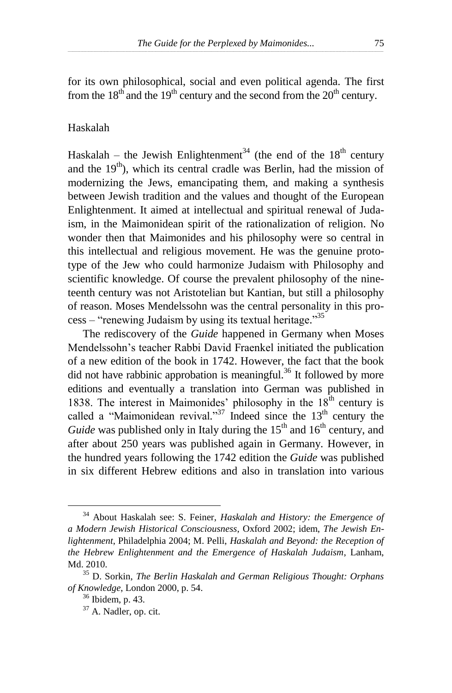for its own philosophical, social and even political agenda. The first from the  $18<sup>th</sup>$  and the 19<sup>th</sup> century and the second from the  $20<sup>th</sup>$  century.

#### Haskalah

Haskalah – the Jewish Enlightenment<sup>34</sup> (the end of the  $18<sup>th</sup>$  century and the  $19<sup>th</sup>$ ), which its central cradle was Berlin, had the mission of modernizing the Jews, emancipating them, and making a synthesis between Jewish tradition and the values and thought of the European Enlightenment. It aimed at intellectual and spiritual renewal of Judaism, in the Maimonidean spirit of the rationalization of religion. No wonder then that Maimonides and his philosophy were so central in this intellectual and religious movement. He was the genuine prototype of the Jew who could harmonize Judaism with Philosophy and scientific knowledge. Of course the prevalent philosophy of the nineteenth century was not Aristotelian but Kantian, but still a philosophy of reason. Moses Mendelssohn was the central personality in this process – "renewing Judaism by using its textual heritage."<sup>35</sup>

The rediscovery of the *Guide* happened in Germany when Moses Mendelssohn's teacher Rabbi David Fraenkel initiated the publication of a new edition of the book in 1742. However, the fact that the book did not have rabbinic approbation is meaningful.<sup>36</sup> It followed by more editions and eventually a translation into German was published in 1838. The interest in Maimonides' philosophy in the  $18<sup>th</sup>$  century is called a "Maimonidean revival."<sup>37</sup> Indeed since the  $13<sup>th</sup>$  century the *Guide* was published only in Italy during the  $15<sup>th</sup>$  and  $16<sup>th</sup>$  century, and after about 250 years was published again in Germany. However, in the hundred years following the 1742 edition the *Guide* was published in six different Hebrew editions and also in translation into various

<sup>34</sup> About Haskalah see: S. Feiner, *Haskalah and History: the Emergence of a Modern Jewish Historical Consciousness*, Oxford 2002; idem, *The Jewish Enlightenment*, Philadelphia 2004; M. Pelli, *Haskalah and Beyond: the Reception of the Hebrew Enlightenment and the Emergence of Haskalah Judaism*, Lanham, Md. 2010.

<sup>35</sup> D. Sorkin, *The Berlin Haskalah and German Religious Thought: Orphans of Knowledge*, London 2000, p. 54.

<sup>36</sup> Ibidem, p. 43.

<sup>37</sup> A. Nadler, op. cit.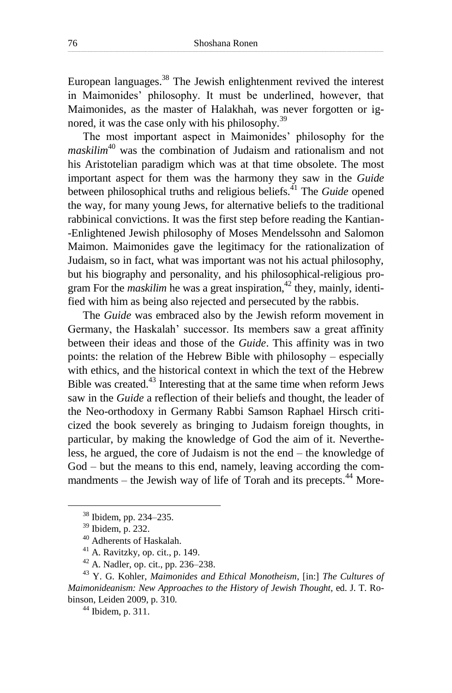European languages. <sup>38</sup> The Jewish enlightenment revived the interest in Maimonides' philosophy. It must be underlined, however, that Maimonides, as the master of Halakhah, was never forgotten or ignored, it was the case only with his philosophy.<sup>39</sup>

The most important aspect in Maimonides' philosophy for the *maskilim*<sup>40</sup> was the combination of Judaism and rationalism and not his Aristotelian paradigm which was at that time obsolete. The most important aspect for them was the harmony they saw in the *Guide*  between philosophical truths and religious beliefs. <sup>41</sup> The *Guide* opened the way, for many young Jews, for alternative beliefs to the traditional rabbinical convictions. It was the first step before reading the Kantian- -Enlightened Jewish philosophy of Moses Mendelssohn and Salomon Maimon. Maimonides gave the legitimacy for the rationalization of Judaism, so in fact, what was important was not his actual philosophy, but his biography and personality, and his philosophical-religious program For the *maskilim* he was a great inspiration, <sup>42</sup> they, mainly, identified with him as being also rejected and persecuted by the rabbis.

The *Guide* was embraced also by the Jewish reform movement in Germany, the Haskalah' successor. Its members saw a great affinity between their ideas and those of the *Guide*. This affinity was in two points: the relation of the Hebrew Bible with philosophy – especially with ethics, and the historical context in which the text of the Hebrew Bible was created.<sup>43</sup> Interesting that at the same time when reform Jews saw in the *Guide* a reflection of their beliefs and thought, the leader of the Neo-orthodoxy in Germany Rabbi Samson Raphael Hirsch criticized the book severely as bringing to Judaism foreign thoughts, in particular, by making the knowledge of God the aim of it. Nevertheless, he argued, the core of Judaism is not the end – the knowledge of God – but the means to this end, namely, leaving according the commandments – the Jewish way of life of Torah and its precepts.<sup>44</sup> More-

 $\overline{a}$ 

 $44$  Ibidem, p. 311.

<sup>38</sup> Ibidem, pp. 234–235.

<sup>39</sup> Ibidem, p. 232.

<sup>40</sup> Adherents of Haskalah.

<sup>41</sup> A. Ravitzky, op. cit., p. 149.

<sup>42</sup> A. Nadler, op. cit., pp. 236–238.

<sup>43</sup> Y. G. Kohler, *Maimonides and Ethical Monotheism*, [in:] *The Cultures of Maimonideanism: New Approaches to the History of Jewish Thought*, ed. J. T. Robinson, Leiden 2009, p. 310.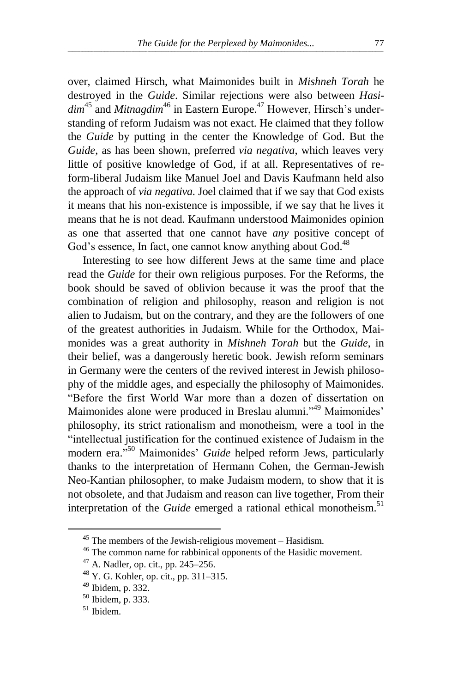over, claimed Hirsch, what Maimonides built in *Mishneh Torah* he destroyed in the *Guide*. Similar rejections were also between *Hasi*dim<sup>45</sup> and *Mitnagdim*<sup>46</sup> in Eastern Europe.<sup>47</sup> However, Hirsch's understanding of reform Judaism was not exact. He claimed that they follow the *Guide* by putting in the center the Knowledge of God. But the *Guide*, as has been shown, preferred *via negativa*, which leaves very little of positive knowledge of God, if at all. Representatives of reform-liberal Judaism like Manuel Joel and Davis Kaufmann held also the approach of *via negativa*. Joel claimed that if we say that God exists it means that his non-existence is impossible, if we say that he lives it means that he is not dead. Kaufmann understood Maimonides opinion as one that asserted that one cannot have *any* positive concept of God's essence, In fact, one cannot know anything about God.<sup>48</sup>

Interesting to see how different Jews at the same time and place read the *Guide* for their own religious purposes. For the Reforms, the book should be saved of oblivion because it was the proof that the combination of religion and philosophy, reason and religion is not alien to Judaism, but on the contrary, and they are the followers of one of the greatest authorities in Judaism. While for the Orthodox, Maimonides was a great authority in *Mishneh Torah* but the *Guide*, in their belief, was a dangerously heretic book. Jewish reform seminars in Germany were the centers of the revived interest in Jewish philosophy of the middle ages, and especially the philosophy of Maimonides. "Before the first World War more than a dozen of dissertation on Maimonides alone were produced in Breslau alumni."<sup>49</sup> Maimonides' philosophy, its strict rationalism and monotheism, were a tool in the "intellectual justification for the continued existence of Judaism in the modern era." <sup>50</sup> Maimonides' *Guide* helped reform Jews, particularly thanks to the interpretation of Hermann Cohen, the German-Jewish Neo-Kantian philosopher, to make Judaism modern, to show that it is not obsolete, and that Judaism and reason can live together, From their interpretation of the *Guide* emerged a rational ethical monotheism. 51

<sup>45</sup> The members of the Jewish-religious movement – Hasidism.

<sup>46</sup> The common name for rabbinical opponents of the Hasidic movement.

<sup>47</sup> A. Nadler, op. cit., pp. 245–256.

<sup>48</sup> Y. G. Kohler, op. cit., pp. 311–315.

<sup>49</sup> Ibidem, p. 332.

<sup>50</sup> Ibidem, p. 333.

<sup>51</sup> Ibidem.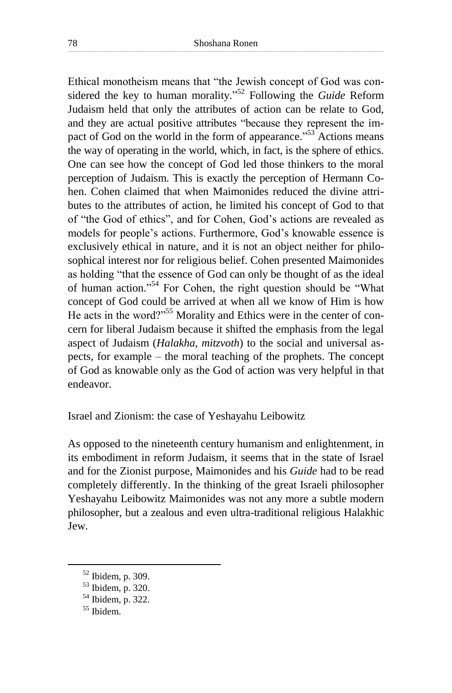Ethical monotheism means that "the Jewish concept of God was considered the key to human morality." <sup>52</sup> Following the *Guide* Reform Judaism held that only the attributes of action can be relate to God, and they are actual positive attributes "because they represent the impact of God on the world in the form of appearance."<sup>53</sup> Actions means the way of operating in the world, which, in fact, is the sphere of ethics. One can see how the concept of God led those thinkers to the moral perception of Judaism. This is exactly the perception of Hermann Cohen. Cohen claimed that when Maimonides reduced the divine attributes to the attributes of action, he limited his concept of God to that of "the God of ethics", and for Cohen, God's actions are revealed as models for people's actions. Furthermore, God's knowable essence is exclusively ethical in nature, and it is not an object neither for philosophical interest nor for religious belief. Cohen presented Maimonides as holding "that the essence of God can only be thought of as the ideal of human action."<sup>54</sup> For Cohen, the right question should be "What concept of God could be arrived at when all we know of Him is how He acts in the word?"<sup>55</sup> Morality and Ethics were in the center of concern for liberal Judaism because it shifted the emphasis from the legal aspect of Judaism (*Halakha*, *mitzvoth*) to the social and universal aspects, for example – the moral teaching of the prophets. The concept of God as knowable only as the God of action was very helpful in that endeavor.

Israel and Zionism: the case of Yeshayahu Leibowitz

As opposed to the nineteenth century humanism and enlightenment, in its embodiment in reform Judaism, it seems that in the state of Israel and for the Zionist purpose, Maimonides and his *Guide* had to be read completely differently. In the thinking of the great Israeli philosopher Yeshayahu Leibowitz Maimonides was not any more a subtle modern philosopher, but a zealous and even ultra-traditional religious Halakhic Jew.

<sup>52</sup> Ibidem, p. 309.

<sup>53</sup> Ibidem, p. 320.

<sup>54</sup> Ibidem, p. 322.

<sup>55</sup> Ibidem.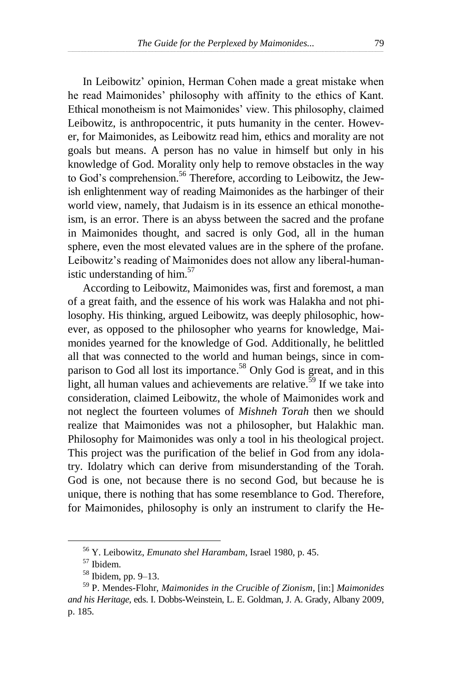In Leibowitz' opinion, Herman Cohen made a great mistake when he read Maimonides' philosophy with affinity to the ethics of Kant. Ethical monotheism is not Maimonides' view. This philosophy, claimed Leibowitz, is anthropocentric, it puts humanity in the center. However, for Maimonides, as Leibowitz read him, ethics and morality are not goals but means. A person has no value in himself but only in his knowledge of God. Morality only help to remove obstacles in the way to God's comprehension.<sup>56</sup> Therefore, according to Leibowitz, the Jewish enlightenment way of reading Maimonides as the harbinger of their world view, namely, that Judaism is in its essence an ethical monotheism, is an error. There is an abyss between the sacred and the profane in Maimonides thought, and sacred is only God, all in the human sphere, even the most elevated values are in the sphere of the profane. Leibowitz's reading of Maimonides does not allow any liberal-humanistic understanding of him. 57

According to Leibowitz, Maimonides was, first and foremost, a man of a great faith, and the essence of his work was Halakha and not philosophy. His thinking, argued Leibowitz, was deeply philosophic, however, as opposed to the philosopher who yearns for knowledge, Maimonides yearned for the knowledge of God. Additionally, he belittled all that was connected to the world and human beings, since in comparison to God all lost its importance.<sup>58</sup> Only God is great, and in this light, all human values and achievements are relative. <sup>59</sup> If we take into consideration, claimed Leibowitz, the whole of Maimonides work and not neglect the fourteen volumes of *Mishneh Torah* then we should realize that Maimonides was not a philosopher, but Halakhic man. Philosophy for Maimonides was only a tool in his theological project. This project was the purification of the belief in God from any idolatry. Idolatry which can derive from misunderstanding of the Torah. God is one, not because there is no second God, but because he is unique, there is nothing that has some resemblance to God. Therefore, for Maimonides, philosophy is only an instrument to clarify the He-

<sup>56</sup> Y. Leibowitz, *Emunato shel Harambam*, Israel 1980, p. 45.

<sup>57</sup> Ibidem.

<sup>58</sup> Ibidem, pp. 9–13.

<sup>59</sup> P. Mendes-Flohr, *Maimonides in the Crucible of Zionism*, [in:] *Maimonides and his Heritage*, eds. I. Dobbs-Weinstein, L. E. Goldman, J. A. Grady, Albany 2009, p. 185.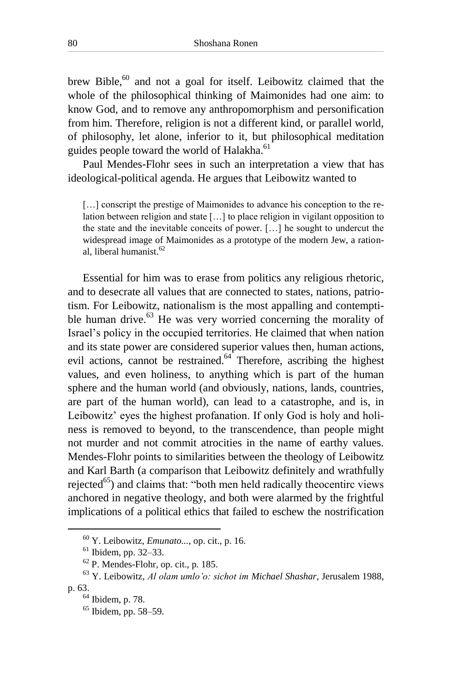brew Bible,<sup>60</sup> and not a goal for itself. Leibowitz claimed that the whole of the philosophical thinking of Maimonides had one aim: to know God, and to remove any anthropomorphism and personification from him. Therefore, religion is not a different kind, or parallel world, of philosophy, let alone, inferior to it, but philosophical meditation guides people toward the world of Halakha.<sup>61</sup>

Paul Mendes-Flohr sees in such an interpretation a view that has ideological-political agenda. He argues that Leibowitz wanted to

[...] conscript the prestige of Maimonides to advance his conception to the relation between religion and state […] to place religion in vigilant opposition to the state and the inevitable conceits of power. […] he sought to undercut the widespread image of Maimonides as a prototype of the modern Jew, a rational, liberal humanist. 62

Essential for him was to erase from politics any religious rhetoric, and to desecrate all values that are connected to states, nations, patriotism. For Leibowitz, nationalism is the most appalling and contemptible human drive. <sup>63</sup> He was very worried concerning the morality of Israel's policy in the occupied territories. He claimed that when nation and its state power are considered superior values then, human actions, evil actions, cannot be restrained.<sup>64</sup> Therefore, ascribing the highest values, and even holiness, to anything which is part of the human sphere and the human world (and obviously, nations, lands, countries, are part of the human world), can lead to a catastrophe, and is, in Leibowitz' eyes the highest profanation. If only God is holy and holiness is removed to beyond, to the transcendence, than people might not murder and not commit atrocities in the name of earthy values. Mendes-Flohr points to similarities between the theology of Leibowitz and Karl Barth (a comparison that Leibowitz definitely and wrathfully rejected $^{65}$ ) and claims that: "both men held radically theocentirc views anchored in negative theology, and both were alarmed by the frightful implications of a political ethics that failed to eschew the nostrification

<sup>60</sup> Y. Leibowitz, *Emunato...*, op. cit., p. 16.

<sup>61</sup> Ibidem, pp. 32–33.

 $62$  P. Mendes-Flohr, op. cit., p. 185.

<sup>63</sup> Y. Leibowitz, *Al olam umlo'o: sichot im Michael Shashar*, Jerusalem 1988, p. 63.

<sup>64</sup> Ibidem, p. 78.

<sup>65</sup> Ibidem, pp. 58–59.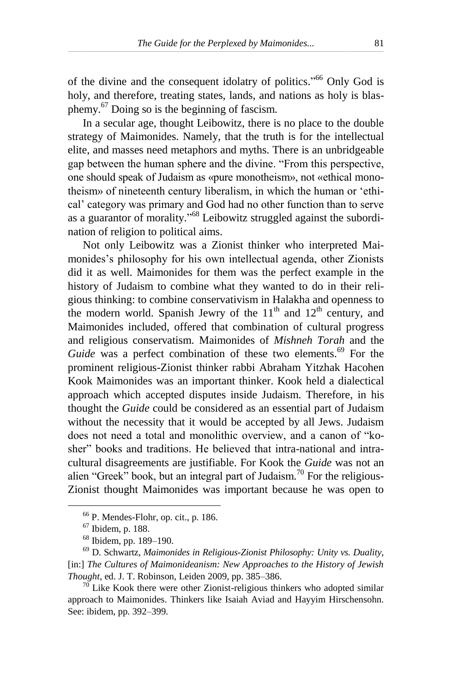of the divine and the consequent idolatry of politics."<sup>66</sup> Only God is holy, and therefore, treating states, lands, and nations as holy is blasphemy.<sup>67</sup> Doing so is the beginning of fascism.

In a secular age, thought Leibowitz, there is no place to the double strategy of Maimonides. Namely, that the truth is for the intellectual elite, and masses need metaphors and myths. There is an unbridgeable gap between the human sphere and the divine. "From this perspective, one should speak of Judaism as «pure monotheism», not «ethical monotheism» of nineteenth century liberalism, in which the human or 'ethical' category was primary and God had no other function than to serve as a guarantor of morality."<sup>68</sup> Leibowitz struggled against the subordination of religion to political aims.

Not only Leibowitz was a Zionist thinker who interpreted Maimonides's philosophy for his own intellectual agenda, other Zionists did it as well. Maimonides for them was the perfect example in the history of Judaism to combine what they wanted to do in their religious thinking: to combine conservativism in Halakha and openness to the modern world. Spanish Jewry of the  $11<sup>th</sup>$  and  $12<sup>th</sup>$  century, and Maimonides included, offered that combination of cultural progress and religious conservatism. Maimonides of *Mishneh Torah* and the Guide was a perfect combination of these two elements.<sup>69</sup> For the prominent religious-Zionist thinker rabbi Abraham Yitzhak Hacohen Kook Maimonides was an important thinker. Kook held a dialectical approach which accepted disputes inside Judaism. Therefore, in his thought the *Guide* could be considered as an essential part of Judaism without the necessity that it would be accepted by all Jews. Judaism does not need a total and monolithic overview, and a canon of "kosher" books and traditions. He believed that intra-national and intracultural disagreements are justifiable. For Kook the *Guide* was not an alien "Greek" book, but an integral part of Judaism.<sup>70</sup> For the religious-Zionist thought Maimonides was important because he was open to

 $66$  P. Mendes-Flohr, op. cit., p. 186.

<sup>67</sup> Ibidem, p. 188.

<sup>68</sup> Ibidem, pp. 189–190.

<sup>69</sup> D. Schwartz, *Maimonides in Religious-Zionist Philosophy: Unity vs. Duality*, [in:] *The Cultures of Maimonideanism: New Approaches to the History of Jewish Thought*, ed. J. T. Robinson, Leiden 2009, pp. 385–386.

 $70$  Like Kook there were other Zionist-religious thinkers who adopted similar approach to Maimonides. Thinkers like Isaiah Aviad and Hayyim Hirschensohn. See: ibidem, pp. 392–399.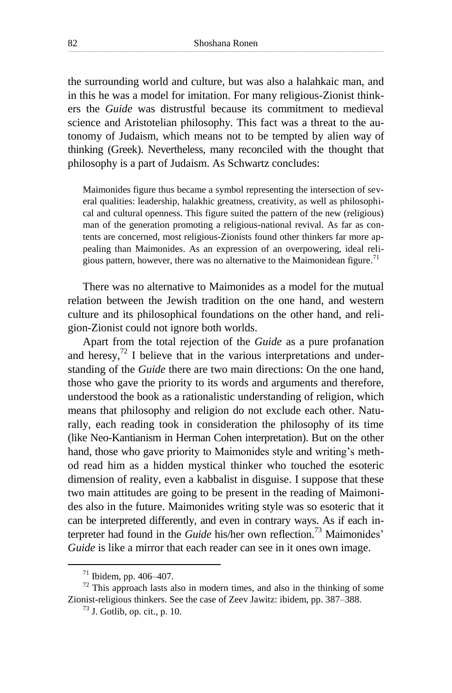the surrounding world and culture, but was also a halahkaic man, and in this he was a model for imitation. For many religious-Zionist thinkers the *Guide* was distrustful because its commitment to medieval science and Aristotelian philosophy. This fact was a threat to the autonomy of Judaism, which means not to be tempted by alien way of thinking (Greek). Nevertheless, many reconciled with the thought that philosophy is a part of Judaism. As Schwartz concludes:

Maimonides figure thus became a symbol representing the intersection of several qualities: leadership, halakhic greatness, creativity, as well as philosophical and cultural openness. This figure suited the pattern of the new (religious) man of the generation promoting a religious-national revival. As far as contents are concerned, most religious-Zionists found other thinkers far more appealing than Maimonides. As an expression of an overpowering, ideal religious pattern, however, there was no alternative to the Maimonidean figure.<sup>71</sup>

There was no alternative to Maimonides as a model for the mutual relation between the Jewish tradition on the one hand, and western culture and its philosophical foundations on the other hand, and religion-Zionist could not ignore both worlds.

Apart from the total rejection of the *Guide* as a pure profanation and heresy, $72$  I believe that in the various interpretations and understanding of the *Guide* there are two main directions: On the one hand, those who gave the priority to its words and arguments and therefore, understood the book as a rationalistic understanding of religion, which means that philosophy and religion do not exclude each other. Naturally, each reading took in consideration the philosophy of its time (like Neo-Kantianism in Herman Cohen interpretation). But on the other hand, those who gave priority to Maimonides style and writing's method read him as a hidden mystical thinker who touched the esoteric dimension of reality, even a kabbalist in disguise. I suppose that these two main attitudes are going to be present in the reading of Maimonides also in the future. Maimonides writing style was so esoteric that it can be interpreted differently, and even in contrary ways. As if each interpreter had found in the *Guide* his/her own reflection. <sup>73</sup> Maimonides' *Guide* is like a mirror that each reader can see in it ones own image.

 $71$  Ibidem, pp. 406–407.

 $72$  This approach lasts also in modern times, and also in the thinking of some Zionist-religious thinkers. See the case of Zeev Jawitz: ibidem, pp. 387–388.

 $^{73}$  J. Gotlib, op. cit., p. 10.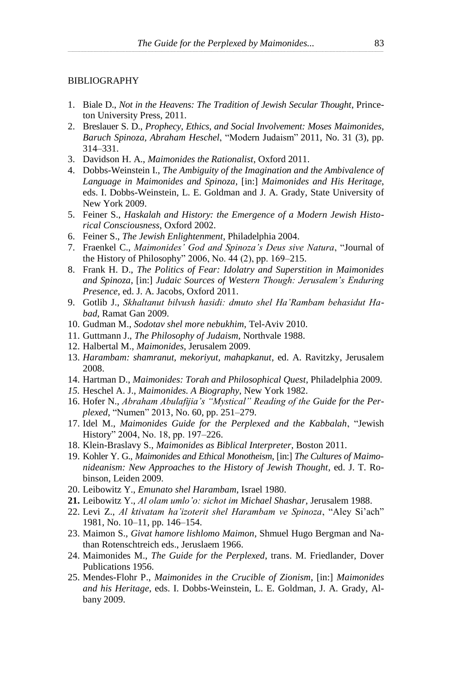#### BIBLIOGRAPHY

- 1. Biale D., *Not in the Heavens: The Tradition of Jewish Secular Thought*, Princeton University Press, 2011.
- 2. Breslauer S. D., *Prophecy, Ethics, and Social Involvement: Moses Maimonides, Baruch Spinoza, Abraham Heschel*, "Modern Judaism" 2011, No. 31 (3), pp. 314–331.
- 3. Davidson H. A., *Maimonides the Rationalist*, Oxford 2011.
- 4. Dobbs-Weinstein I., *The Ambiguity of the Imagination and the Ambivalence of Language in Maimonides and Spinoza*, [in:] *Maimonides and His Heritage*, eds. I. Dobbs-Weinstein, L. E. Goldman and J. A. Grady, State University of New York 2009.
- 5. Feiner S., *Haskalah and History: the Emergence of a Modern Jewish Historical Consciousness*, Oxford 2002.
- 6. Feiner S., *The Jewish Enlightenment*, Philadelphia 2004.
- 7. Fraenkel C., *Maimonides' God and Spinoza's Deus sive Natura*, "Journal of the History of Philosophy" 2006, No. 44 (2), pp. 169–215.
- 8. Frank H. D., *The Politics of Fear: Idolatry and Superstition in Maimonides and Spinoza*, [in:] *Judaic Sources of Western Though: Jerusalem's Enduring Presence*, ed. J. A. Jacobs, Oxford 2011.
- 9. Gotlib J., *Skhaltanut bilvush hasidi: dmuto shel Ha'Rambam behasidut Habad*, Ramat Gan 2009.
- 10. Gudman M., *Sodotav shel more nebukhim*, Tel-Aviv 2010.
- 11. Guttmann J., *The Philosophy of Judaism*, Northvale 1988.
- 12. Halbertal M., *Maimonides*, Jerusalem 2009.
- 13. *Harambam: shamranut, mekoriyut, mahapkanut*, ed. A. Ravitzky, Jerusalem 2008.
- 14. Hartman D., *Maimonides: Torah and Philosophical Quest*, Philadelphia 2009.
- *15.* Heschel A. J., *Maimonides. A Biography*, New York 1982.
- 16. Hofer N., *Abraham Abulafijia's "Mystical" Reading of the Guide for the Perplexed*, "Numen" 2013, No. 60, pp. 251–279.
- 17. Idel M., *Maimonides Guide for the Perplexed and the Kabbalah*, "Jewish History" 2004, No. 18, pp. 197–226.
- 18. Klein-Braslavy S., *Maimonides as Biblical Interpreter*, Boston 2011.
- 19. Kohler Y. G., *Maimonides and Ethical Monotheism*, [in:] *The Cultures of Maimonideanism: New Approaches to the History of Jewish Thought*, ed. J. T. Robinson, Leiden 2009.
- 20. Leibowitz Y., *Emunato shel Harambam*, Israel 1980.
- **21.** Leibowitz Y., *Al olam umlo'o: sichot im Michael Shashar*, Jerusalem 1988.
- 22. Levi Z., *Al ktivatam ha'izoterit shel Harambam ve Spinoza*, "Aley Si'ach" 1981, No. 10–11, pp. 146–154.
- 23. Maimon S., *Givat hamore lishlomo Maimon*, Shmuel Hugo Bergman and Nathan Rotenschtreich eds., Jeruslaem 1966.
- 24. Maimonides M., *The Guide for the Perplexed*, trans. M. Friedlander, Dover Publications 1956.
- 25. Mendes-Flohr P., *Maimonides in the Crucible of Zionism*, [in:] *Maimonides and his Heritage*, eds. I. Dobbs-Weinstein, L. E. Goldman, J. A. Grady, Albany 2009.